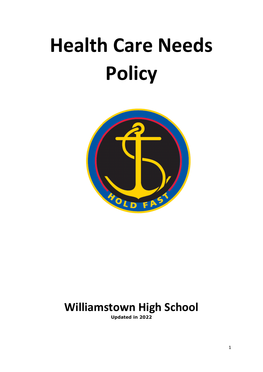# **Health Care Needs Policy**



## **Williamstown High School**

**Updated in 2022**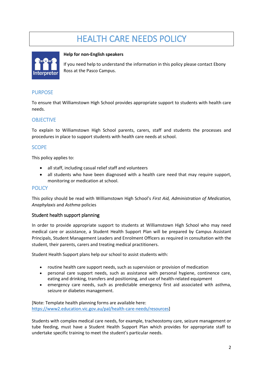## HEALTH CARE NEEDS POLICY



#### **Help for non-English speakers**

If you need help to understand the information in this policy please contact Ebony Ross at the Pasco Campus.

#### **PURPOSE**

To ensure that Williamstown High School provides appropriate support to students with health care needs.

#### **OBJECTIVE**

To explain to Williamstown High School parents, carers, staff and students the processes and procedures in place to support students with health care needs at school.

#### **SCOPE**

This policy applies to:

- all staff, including casual relief staff and volunteers
- all students who have been diagnosed with a health care need that may require support, monitoring or medication at school.

#### **POLICY**

This policy should be read with Williamstown High School's *First Aid, Administration of Medication, Anaphylaxis* and *Asthma* policies

#### Student health support planning

In order to provide appropriate support to students at Williamstown High School who may need medical care or assistance, a Student Health Support Plan will be prepared by Campus Assistant Principals, Student Management Leaders and Enrolment Officers as required in consultation with the student, their parents, carers and treating medical practitioners.

Student Health Support plans help our school to assist students with:

- routine health care support needs, such as supervision or provision of medication
- personal care support needs, such as assistance with personal hygiene, continence care, eating and drinking, transfers and positioning, and use of health-related equipment
- emergency care needs, such as predictable emergency first aid associated with asthma, seizure or diabetes management.

[Note: Template health planning forms are available here: [https://www2.education.vic.gov.au/pal/health-care-needs/resources\]](https://www2.education.vic.gov.au/pal/health-care-needs/resources)

Students with complex medical care needs, for example, tracheostomy care, seizure management or tube feeding, must have a Student Health Support Plan which provides for appropriate staff to undertake specific training to meet the student's particular needs.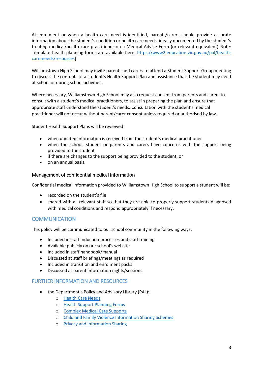At enrolment or when a health care need is identified, parents/carers should provide accurate information about the student's condition or health care needs, ideally documented by the student's treating medical/health care practitioner on a Medical Advice Form (or relevant equivalent) Note: Template health planning forms are available here: [https://www2.education.vic.gov.au/pal/health](https://www2.education.vic.gov.au/pal/health-care-needs/resources)[care-needs/resources\]](https://www2.education.vic.gov.au/pal/health-care-needs/resources)

Williamstown High School may invite parents and carers to attend a Student Support Group meeting to discuss the contents of a student's Health Support Plan and assistance that the student may need at school or during school activities.

Where necessary, Williamstown High School may also request consent from parents and carers to consult with a student's medical practitioners, to assist in preparing the plan and ensure that appropriate staff understand the student's needs. Consultation with the student's medical practitioner will not occur without parent/carer consent unless required or authorised by law.

Student Health Support Plans will be reviewed:

- when updated information is received from the student's medical practitioner
- when the school, student or parents and carers have concerns with the support being provided to the student
- if there are changes to the support being provided to the student, or
- on an annual basis.

#### Management of confidential medical information

Confidential medical information provided to Williamstown High School to support a student will be:

- recorded on the student's file
- shared with all relevant staff so that they are able to properly support students diagnosed with medical conditions and respond appropriately if necessary.

#### **COMMUNICATION**

This policy will be communicated to our school community in the following ways:

- Included in staff induction processes and staff training
- Available publicly on our school's website
- Included in staff handbook/manual
- Discussed at staff briefings/meetings as required
- Included in transition and enrolment packs
- Discussed at parent information nights/sessions

#### FURTHER INFORMATION AND RESOURCES

- the Department's Policy and Advisory Library (PAL):
	- o [Health Care Needs](https://www2.education.vic.gov.au/pal/health-care-needs/policy)
	- o [Health Support Planning Forms](https://www2.education.vic.gov.au/pal/health-care-needs/resources)
	- o [Complex Medical Care Supports](https://www2.education.vic.gov.au/pal/health-care-needs/guidance/complex-medical-care-supports)
	- o [Child and Family Violence Information Sharing Schemes](https://www2.education.vic.gov.au/pal/information-sharing-schemes/policy)
	- o [Privacy and Information Sharing](https://www2.education.vic.gov.au/pal/privacy-information-sharing/policy)